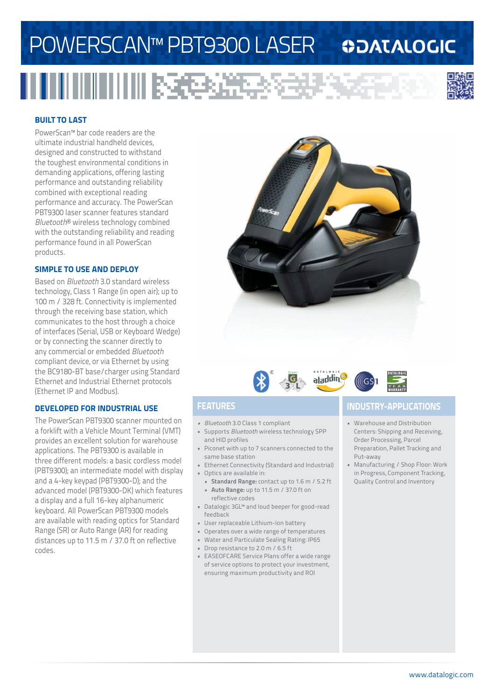# POWERSCAN™ PBT9300 LASER

### **ODATALOGIC**



#### **BUILT TO LAST**

PowerScan™ bar code readers are the ultimate industrial handheld devices, designed and constructed to withstand the toughest environmental conditions in demanding applications, offering lasting performance and outstanding reliability combined with exceptional reading performance and accuracy. The PowerScan PBT9300 laser scanner features standard *Bluetooth*® wireless technology combined with the outstanding reliability and reading performance found in all PowerScan products.

#### **SIMPLE TO USE AND DEPLOY**

Based on *Bluetooth* 3.0 standard wireless technology, Class 1 Range (in open air); up to 100 m / 328 ft. Connectivity is implemented through the receiving base station, which communicates to the host through a choice of interfaces (Serial, USB or Keyboard Wedge) or by connecting the scanner directly to any commercial or embedded *Bluetooth* compliant device, or via Ethernet by using the BC9180-BT base/charger using Standard Ethernet and Industrial Ethernet protocols (Ethernet IP and Modbus).

#### **DEVELOPED FOR INDUSTRIAL USE**

The PowerScan PBT9300 scanner mounted on a forklift with a Vehicle Mount Terminal (VMT) provides an excellent solution for warehouse applications. The PBT9300 is available in three different models: a basic cordless model (PBT9300); an intermediate model with display and a 4-key keypad (PBT9300-D); and the advanced model (PBT9300-DK) which features a display and a full 16-key alphanumeric keyboard. All PowerScan PBT9300 models are available with reading optics for Standard Range (SR) or Auto Range (AR) for reading distances up to 11.5 m / 37.0 ft on reflective codes.







- *• Bluetooth* 3.0 Class 1 compliant
- Supports *Bluetooth* wireless technology SPP and HID profiles
- Piconet with up to 7 scanners connected to the same base station
- Ethernet Connectivity (Standard and Industrial)
- Optics are available in: **• Standard Range:** contact up to 1.6 m / 5.2 ft
	- **• Auto Range:** up to 11.5 m / 37.0 ft on reflective codes
- Datalogic 3GL™ and loud beeper for good-read feedback
- User replaceable Lithium-Ion battery
- Operates over a wide range of temperatures
- Water and Particulate Sealing Rating: IP65
- Drop resistance to 2.0 m / 6.5 ft
- EASEOFCARE Service Plans offer a wide range of service options to protect your investment, ensuring maximum productivity and ROI

### **FEATURES INDUSTRY-APPLICATIONS**

- Warehouse and Distribution Centers: Shipping and Receiving, Order Processing, Parcel Preparation, Pallet Tracking and Put-away
- Manufacturing / Shop Floor: Work in Progress, Component Tracking, Quality Control and Inventory